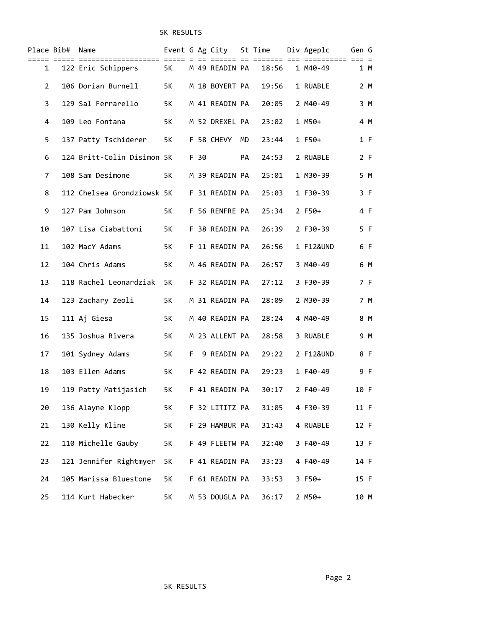# 5K RESULTS

|                | Place Bib# Name |                                           |      |      |                   |    | Event G Ag City St Time Div Ageplc |           | Gen G |     |
|----------------|-----------------|-------------------------------------------|------|------|-------------------|----|------------------------------------|-----------|-------|-----|
| 1              |                 | 122 Eric Schippers 5K M 49 READIN PA      |      |      |                   |    | 18:56                              | 1 M40-49  |       | 1 M |
| $\overline{2}$ |                 | 106 Dorian Burnell                        | 5K   |      | M 18 BOYERT PA    |    | 19:56                              | 1 RUABLE  |       | 2 M |
| 3              |                 | 129 Sal Ferrarello                        | 5K   |      | M 41 READIN PA    |    | 20:05                              | 2 M40-49  |       | 3 M |
| 4              |                 | 109 Leo Fontana                           | 5K   |      | M 52 DREXEL PA    |    | 23:02                              | $1$ M50+  |       | 4 M |
| 5              |                 | 137 Patty Tschiderer                      | 5K   |      | F 58 CHEVY MD     |    | 23:44                              | $1 F50+$  |       | 1 F |
| 6              |                 | 124 Britt-Colin Disimon 5K                |      | F 30 |                   | PA | 24:53                              | 2 RUABLE  |       | 2 F |
| 7              |                 | 108 Sam Desimone                          | 5K a |      | M 39 READIN PA    |    | 25:01                              | 1 M30-39  |       | 5 M |
| 8              |                 | 112 Chelsea Grondziowsk 5K F 31 READIN PA |      |      |                   |    | 25:03                              | 1 F30-39  |       | 3 F |
| 9              |                 | 127 Pam Johnson                           |      |      | 5K F 56 RENFRE PA |    | 25:34                              | $2 F50+$  |       | 4 F |
| 10             |                 | 107 Lisa Ciabattoni                       | 5K   |      | F 38 READIN PA    |    | 26:39                              | 2 F30-39  |       | 5 F |
| 11             |                 | 102 MacY Adams                            | 5K   |      | F 11 READIN PA    |    | 26:56                              | 1 F12&UND |       | 6 F |
| 12             |                 | 104 Chris Adams                           | 5K   |      | M 46 READIN PA    |    | 26:57                              | 3 M40-49  |       | 6 M |
| 13             |                 | 118 Rachel Leonardziak 5K                 |      |      | F 32 READIN PA    |    | 27:12                              | 3 F30-39  |       | 7 F |
| 14             |                 | 123 Zachary Zeoli                         | 5K   |      | M 31 READIN PA    |    | 28:09                              | 2 M30-39  |       | 7 M |
| 15             |                 | 111 Aj Giesa                              | 5K   |      | M 40 READIN PA    |    | 28:24                              | 4 M40-49  |       | 8 M |
| 16             |                 | 135 Joshua Rivera                         | 5K   |      | M 23 ALLENT PA    |    | 28:58                              | 3 RUABLE  |       | 9 M |
| 17             |                 | 101 Sydney Adams                          | 5K   |      | F 9 READIN PA     |    | 29:22                              | 2 F12&UND |       | 8 F |
| 18             |                 | 103 Ellen Adams                           | 5K   |      | F 42 READIN PA    |    | 29:23                              | 1 F40-49  |       | 9 F |
| 19             |                 | 119 Patty Matijasich                      | 5K   |      | F 41 READIN PA    |    | 30:17                              | 2 F40-49  | 10 F  |     |
| 20             |                 | 136 Alayne Klopp                          | 5K   |      | F 32 LITITZ PA    |    | 31:05                              | 4 F30-39  | 11 F  |     |
| 21             |                 | 130 Kelly Kline                           | 5K   |      | F 29 HAMBUR PA    |    | 31:43                              | 4 RUABLE  | 12 F  |     |
| 22             |                 | 110 Michelle Gauby                        | 5K   |      | F 49 FLEETW PA    |    | 32:40                              | 3 F40-49  | 13 F  |     |
| 23             |                 | 121 Jennifer Rightmyer                    | 5K   |      | F 41 READIN PA    |    | 33:23                              | 4 F40-49  | 14 F  |     |
| 24             |                 | 105 Marissa Bluestone                     | 5K   |      | F 61 READIN PA    |    | 33:53                              | 3 F50+    | 15 F  |     |
| 25             |                 | 114 Kurt Habecker                         | 5K   |      | M 53 DOUGLA PA    |    | 36:17                              | $2 M50+$  | 10 M  |     |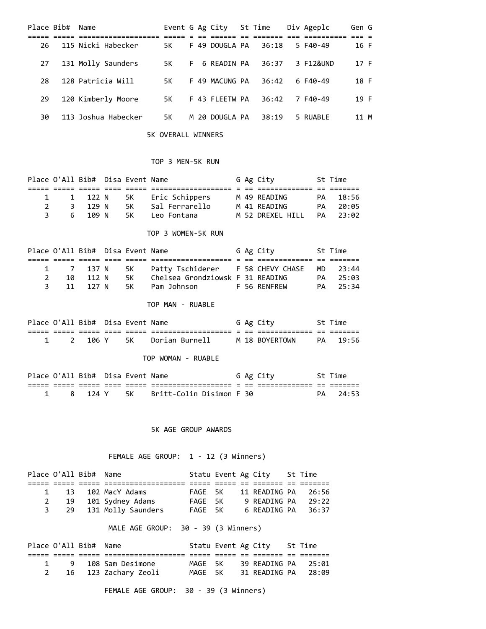|    | Place Bib# Name |                     |      |    | Event G Ag City St Time |       | Div Ageplc | Gen G |  |
|----|-----------------|---------------------|------|----|-------------------------|-------|------------|-------|--|
|    |                 |                     |      |    |                         |       |            |       |  |
| 26 |                 | 115 Nicki Habecker  | 5K.  |    | F 49 DOUGLA PA          | 36:18 | 5 F40-49   | 16 F  |  |
| 27 |                 | 131 Molly Saunders  | 5K . | F. | 6 READIN PA             | 36:37 | 3 F12&UND  | 17 F  |  |
| 28 |                 | 128 Patricia Will   | 5K.  |    | F 49 MACUNG PA          | 36:42 | 6 F40-49   | 18 F  |  |
| 29 |                 | 120 Kimberly Moore  | 5K.  |    | F 43 FLEETW PA          | 36:42 | 7 F40-49   | 19 F  |  |
| 30 |                 | 113 Joshua Habecker | 5K   |    | M 20 DOUGLA PA          | 38:19 | 5 RUABLE   | 11 M  |  |

5K OVERALL WINNERS

## TOP 3 MEN-5K RUN

| Place O'All Bib# Disa Event Name |         |      |                     |  | G Ag City        |    | St Time  |
|----------------------------------|---------|------|---------------------|--|------------------|----|----------|
|                                  |         |      |                     |  |                  |    |          |
|                                  | 1 122 N |      | 5K – Eric Schippers |  | M 49 READING     |    | PA 18:56 |
|                                  | 3 129 N | 5K - | Sal Ferrarello      |  | M 41 READING     | PA | 20:05    |
|                                  | 6109N   | 5K - | Leo Fontana         |  | M 52 DREXEL HILL |    | PA 23:02 |

## TOP 3 WOMEN-5K RUN

|   | Place O'All Bib# Disa Event Name |          |      |                                                         |  | G Ag City    | St Time  |
|---|----------------------------------|----------|------|---------------------------------------------------------|--|--------------|----------|
|   |                                  |          |      |                                                         |  |              |          |
|   |                                  |          |      | 1 7 137 N 5K Patty Tschiderer F 58 CHEVY CHASE MD 23:44 |  |              |          |
|   |                                  | 10 112 N | 5K - | Chelsea Grondziowsk F 31 READING                        |  |              | PA 25:03 |
| 3 |                                  | 11 127 N |      | 5K – Pam Johnson                                        |  | F 56 RFNFRFW | PA 25:34 |

### TOP MAN - RUABLE

|  | Place O'All Bib# Disa Event Name |      |                |  | G Ag City               | St Time |
|--|----------------------------------|------|----------------|--|-------------------------|---------|
|  |                                  |      |                |  |                         |         |
|  | 106 Y                            | 5K - | Dorian Burnell |  | M 18 BOYERTOWN PA 19:56 |         |

### TOP WOMAN - RUABLE

|  | Place O'All Bib# Disa Event Name |  |                                 |  | G Ag City |    | St Time |
|--|----------------------------------|--|---------------------------------|--|-----------|----|---------|
|  |                                  |  |                                 |  |           |    |         |
|  | 124 Y                            |  | 5K     Britt-Colin Disimon F 30 |  |           | PΔ | 24:53   |

### 5K AGE GROUP AWARDS

# FEMALE AGE GROUP: 1 - 12 (3 Winners)

|   | Place O'All Bib# Name |                       |         |  | Statu Event Ag City St Time |       |
|---|-----------------------|-----------------------|---------|--|-----------------------------|-------|
|   |                       |                       |         |  |                             |       |
|   | $\mathbf{1}$          | 13 102 MacY Adams     | FAGF 5K |  | 11 READING PA 26:56         |       |
| 2 |                       | 19 101 Sydney Adams   | FAGF 5K |  | 9 READING PA                | 29:22 |
| 3 |                       | 29 131 Molly Saunders | FAGE 5K |  | 6 READING PA 36:37          |       |

# MALE AGE GROUP: 30 - 39 (3 Winners)

| Place O'All Bib# Name |                      |         |  | Statu Event Ag City St Time |  |
|-----------------------|----------------------|---------|--|-----------------------------|--|
|                       |                      |         |  |                             |  |
|                       | 1 9 108 Sam Desimone | MAGF 5K |  | 39 READING PA 25:01         |  |
|                       | 16 123 Zachary Zeoli | MAGE 5K |  | 31 READING PA 28:09         |  |

FEMALE AGE GROUP: 30 - 39 (3 Winners)